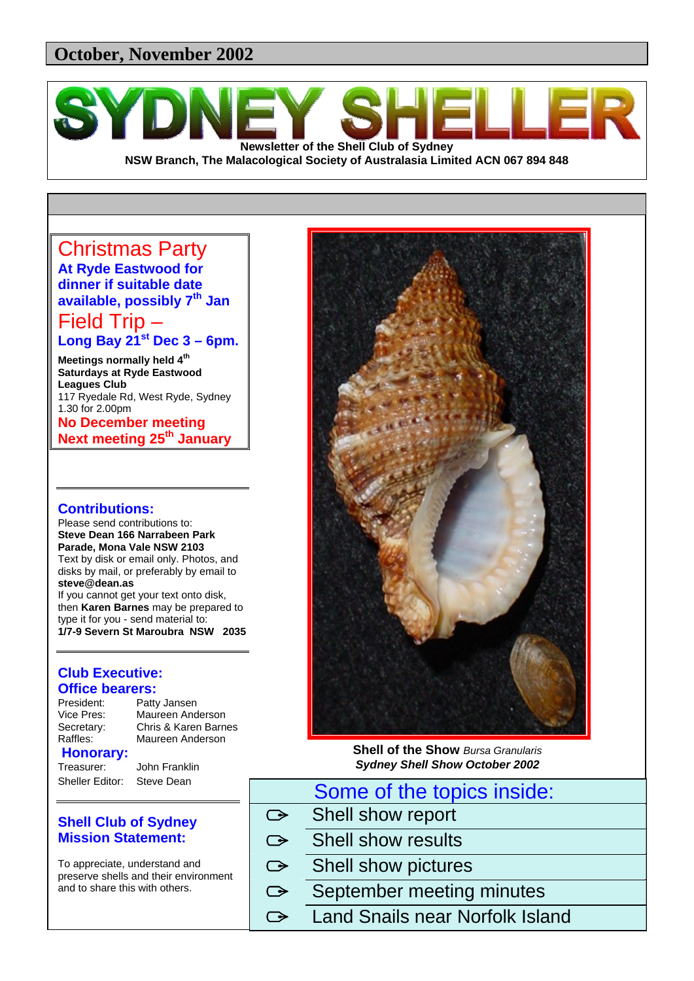## **October, November 2002**

# **Newsletter of the Shell Club of Sydney NSW Branch, The Malacological Society of Australasia Limited ACN 067 894 848**

Christmas Party **At Ryde Eastwood for dinner if suitable date available, possibly 7th Jan**  Field Trip –

**Long Bay 21st Dec 3 – 6pm.**

**Meetings normally held 4th Saturdays at Ryde Eastwood Leagues Club**  117 Ryedale Rd, West Ryde, Sydney 1.30 for 2.00pm

**No December meeting Next meeting 25<sup>th</sup> January** 

#### **Contributions:**

Please send contributions to: **Steve Dean 166 Narrabeen Park Parade, Mona Vale NSW 2103**  Text by disk or email only. Photos, and disks by mail, or preferably by email to **steve@dean.as**  If you cannot get your text onto disk, then **Karen Barnes** may be prepared to type it for you - send material to: **1/7-9 Severn St Maroubra NSW 2035**

#### **Club Executive: Office bearers:**

President: Patty Jansen<br>Vice Pres: Maureen And Vice Pres: Maureen Anderson<br>Secretary: Chris & Karen Barn Chris & Karen Barnes Raffles: Maureen Anderson

Sheller Editor: Steve Dean

John Franklin

### **Shell Club of Sydney Mission Statement:**

To appreciate, understand and preserve shells and their environment and to share this with others.



**Shell of the Show** *Bursa Granularis Sydney Shell Show October 2002* **Honorary:**

|                   | Some of the topics inside:      |
|-------------------|---------------------------------|
| $\rightarrow$     | Shell show report               |
| $\leftrightarrow$ | <b>Shell show results</b>       |
| $\rightarrow$     | Shell show pictures             |
| $\rightarrow$     | September meeting minutes       |
|                   | Land Snails near Norfolk Island |
|                   |                                 |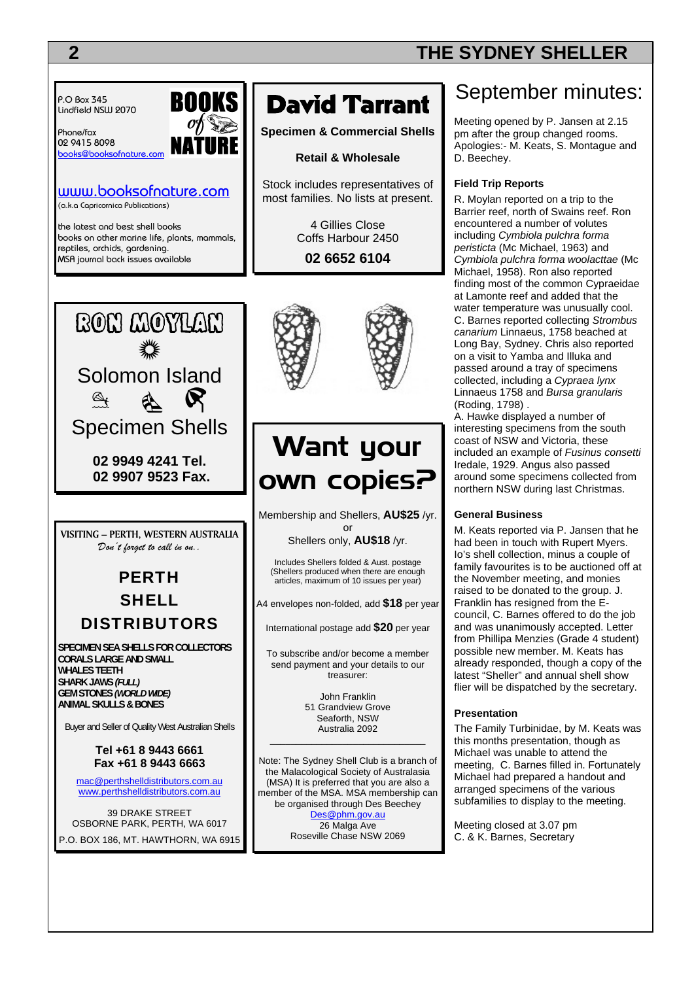P.O Box 345 Lindfield NSW 2070

Phone/fax 02 9415 8098 [books@booksofnature.com](mailto:books@booksofnature.com)



[www.booksofnature.com](http://www.booksofnature.com/) (a.k.a Capricornica Publications)

the latest and best shell books books on other marine life, plants, mammals, reptiles, orchids, gardening. MSA journal back issues available



**VISITING – PERTH, WESTERN AUSTRALIA**  *Don't forget to call in on..* 

## PERTH **SHELL** DISTRIBUTORS

**SPECIMEN SEA SHELLS FOR COLLECTORS CORALS LARGE AND SMALL WHALES TEETH SHARK JAWS** *(FULL)* **GEM STONES** *(WORLD WIDE)* **ANIMAL SKULLS & BONES** 

Buyer and Seller of Quality West Australian Shells

#### **Tel +61 8 9443 6661 Fax +61 8 9443 6663**

[mac@perthshelldistributors.com.au](http://www.perthshelldistributors.com.au/) www.perthshelldistributors.com.au

39 DRAKE STREET OSBORNE PARK, PERTH, WA 6017 P.O. BOX 186, MT. HAWTHORN, WA 6915



**Specimen & Commercial Shells** 

**Retail & Wholesale** 

Stock includes representatives of most families. No lists at present.

> 4 Gillies Close Coffs Harbour 2450

**02 6652 6104** 



## Want your own copies?

Membership and Shellers, **AU\$25** /yr. or

Shellers only, **AU\$18** /yr.

Includes Shellers folded & Aust. postage (Shellers produced when there are enough articles, maximum of 10 issues per year)

A4 envelopes non-folded, add **\$18** per year

International postage add **\$20** per year

To subscribe and/or become a member send payment and your details to our treasurer:

> John Franklin 51 Grandview Grove Seaforth, NSW Australia 2092

\_\_\_\_\_\_\_\_\_\_\_\_\_\_\_\_\_\_\_\_\_\_\_\_\_\_\_\_\_\_

Note: The Sydney Shell Club is a branch of the Malacological Society of Australasia (MSA) It is preferred that you are also a member of the MSA. MSA membership can be organised through Des Beechey [Des@phm.gov.au](mailto:Des@phm.gov.au) 26 Malga Ave Roseville Chase NSW 2069

## September minutes:

Meeting opened by P. Jansen at 2.15 pm after the group changed rooms. Apologies:- M. Keats, S. Montague and D. Beechey.

#### **Field Trip Reports**

R. Moylan reported on a trip to the Barrier reef, north of Swains reef. Ron encountered a number of volutes including *Cymbiola pulchra forma peristicta* (Mc Michael, 1963) and *Cymbiola pulchra forma woolacttae* (Mc Michael, 1958). Ron also reported finding most of the common Cypraeidae at Lamonte reef and added that the water temperature was unusually cool. C. Barnes reported collecting *Strombus canarium* Linnaeus, 1758 beached at Long Bay, Sydney. Chris also reported on a visit to Yamba and Illuka and passed around a tray of specimens collected, including a *Cypraea lynx* Linnaeus 1758 and *Bursa granularis* (Roding, 1798) .

A. Hawke displayed a number of interesting specimens from the south coast of NSW and Victoria, these included an example of *Fusinus consetti* Iredale, 1929. Angus also passed around some specimens collected from northern NSW during last Christmas.

#### **General Business**

M. Keats reported via P. Jansen that he had been in touch with Rupert Myers. Io's shell collection, minus a couple of family favourites is to be auctioned off at the November meeting, and monies raised to be donated to the group. J. Franklin has resigned from the Ecouncil, C. Barnes offered to do the job and was unanimously accepted. Letter from Phillipa Menzies (Grade 4 student) possible new member. M. Keats has already responded, though a copy of the latest "Sheller" and annual shell show flier will be dispatched by the secretary.

#### **Presentation**

The Family Turbinidae, by M. Keats was this months presentation, though as Michael was unable to attend the meeting, C. Barnes filled in. Fortunately Michael had prepared a handout and arranged specimens of the various subfamilies to display to the meeting.

Meeting closed at 3.07 pm C. & K. Barnes, Secretary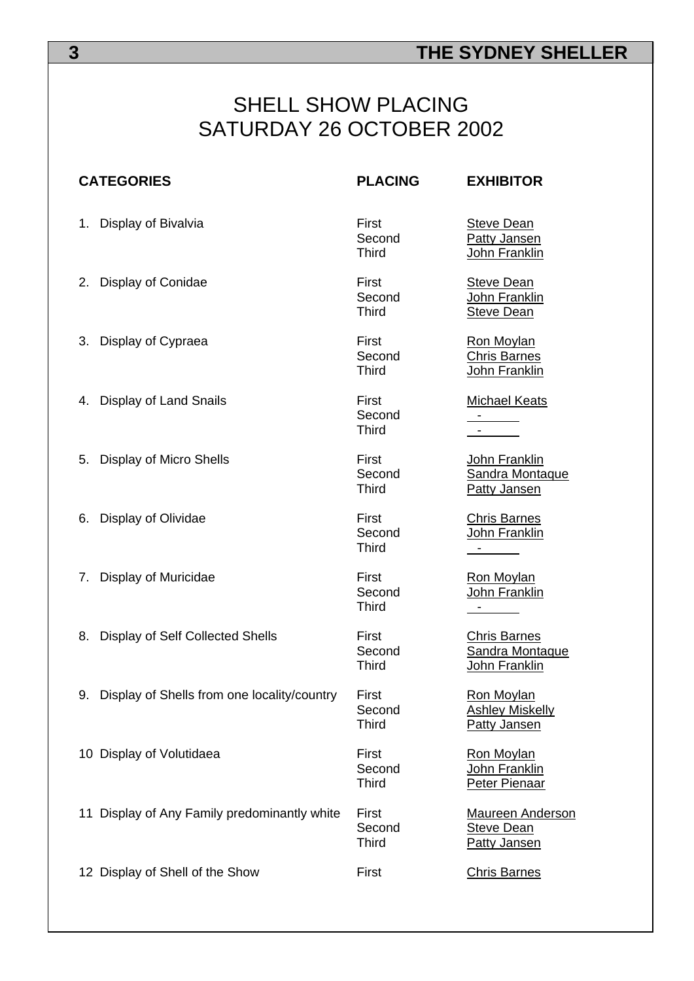## SHELL SHOW PLACING SATURDAY 26 OCTOBER 2002

#### **CATEGORIES PLACING EXHIBITOR**

1. Display of Bivalvia **Filter Steve Dean** Second Patty Jansen Third John Franklin

> Second John Franklin Third Steve Dean

> Second Chris Barnes Third John Franklin

en and the second second the second terms of  $\frac{1}{\sqrt{2}}$  . the contract of the contract of the contract of the contract of the contract of the contract of the contract of the contract of the contract of the contract of the contract of the contract of the contract of the contract o

> Second Sandra Montaque Third **Patty Jansen**

Second John Franklin the contract of the contract of the contract of the contract of the contract of the contract of the contract of the contract of the contract of the contract of the contract of the contract of the contract of the contract o

Second John Franklin the contract of the contract of the contract of the contract of the contract of the contract of the contract of the contract of the contract of the contract of the contract of the contract of the contract of the contract o

> Second Sandra Montaque Third John Franklin

Second Ashley Miskelly Third Patty Jansen

 Second John Franklin Third **Peter Pienaar** 

Second Steve Dean Third **Patty Jansen** 

2. Display of Conidae **First** First Steve Dean

- 3. Display of Cypraea **First** First Ron Moylan
- 4. Display of Land Snails **First** First Michael Keats
- 5. Display of Micro Shells First First John Franklin
- 6. Display of Olividae **First** First Chris Barnes
- 7. Display of Muricidae **First** First Ron Moylan
- 8. Display of Self Collected Shells First First Chris Barnes
- 9. Display of Shells from one locality/country First **Ron Moylan**
- 10 Display of Volutidaea **First** First Ron Moylan
- 11 Display of Any Family predominantly white First Maureen Anderson
- 12 Display of Shell of the Show First Chris Barnes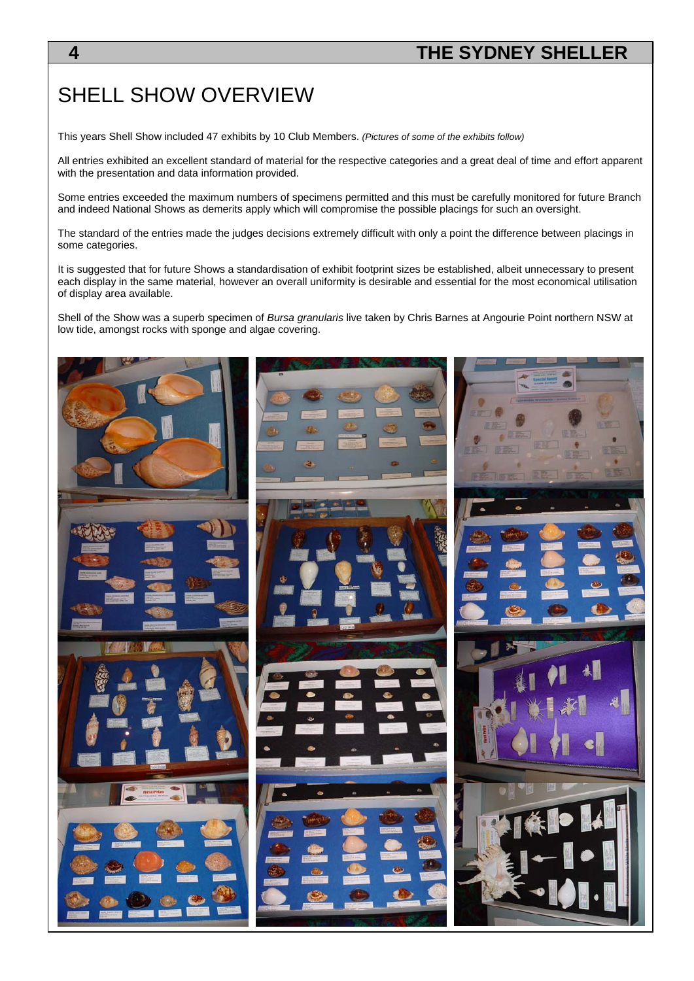## SHELL SHOW OVERVIEW

This years Shell Show included 47 exhibits by 10 Club Members. *(Pictures of some of the exhibits follow)*

All entries exhibited an excellent standard of material for the respective categories and a great deal of time and effort apparent with the presentation and data information provided.

Some entries exceeded the maximum numbers of specimens permitted and this must be carefully monitored for future Branch and indeed National Shows as demerits apply which will compromise the possible placings for such an oversight.

The standard of the entries made the judges decisions extremely difficult with only a point the difference between placings in some categories.

It is suggested that for future Shows a standardisation of exhibit footprint sizes be established, albeit unnecessary to present each display in the same material, however an overall uniformity is desirable and essential for the most economical utilisation of display area available.

Shell of the Show was a superb specimen of *Bursa granularis* live taken by Chris Barnes at Angourie Point northern NSW at low tide, amongst rocks with sponge and algae covering.

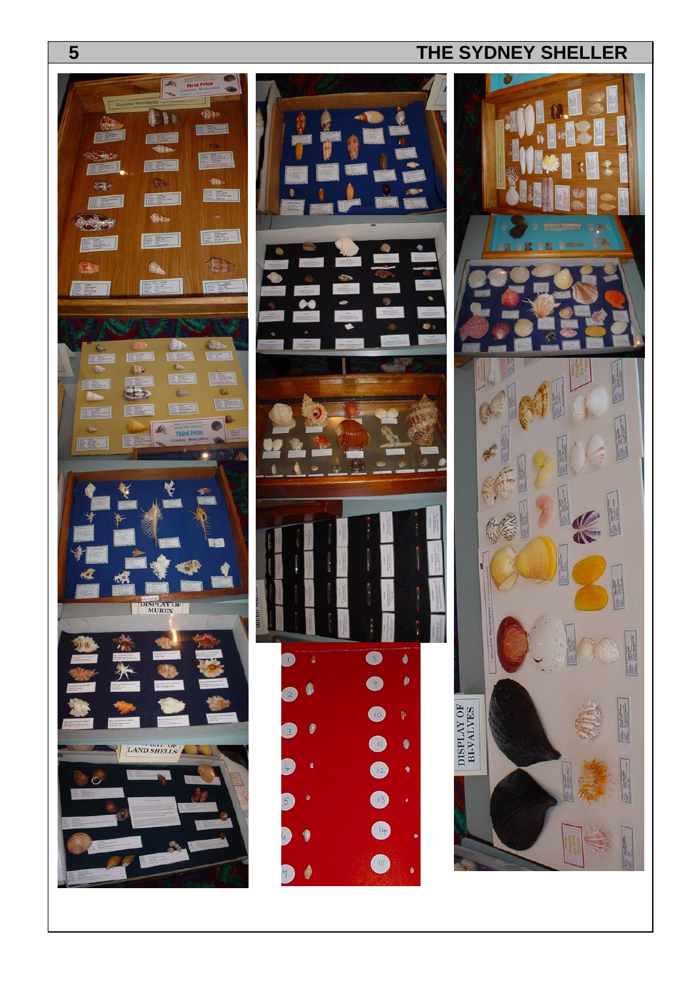## **5** THE SYDNEY SHELLER 美 First Prize  $\frac{1}{2}$ 籃员 **Based** 長尾 m E 52. لمنقه  $\bullet$ **Hall**  $-1.3$ 同盟 **Third Pr** e de la







圖

山温山

購

FEE

1

(宋)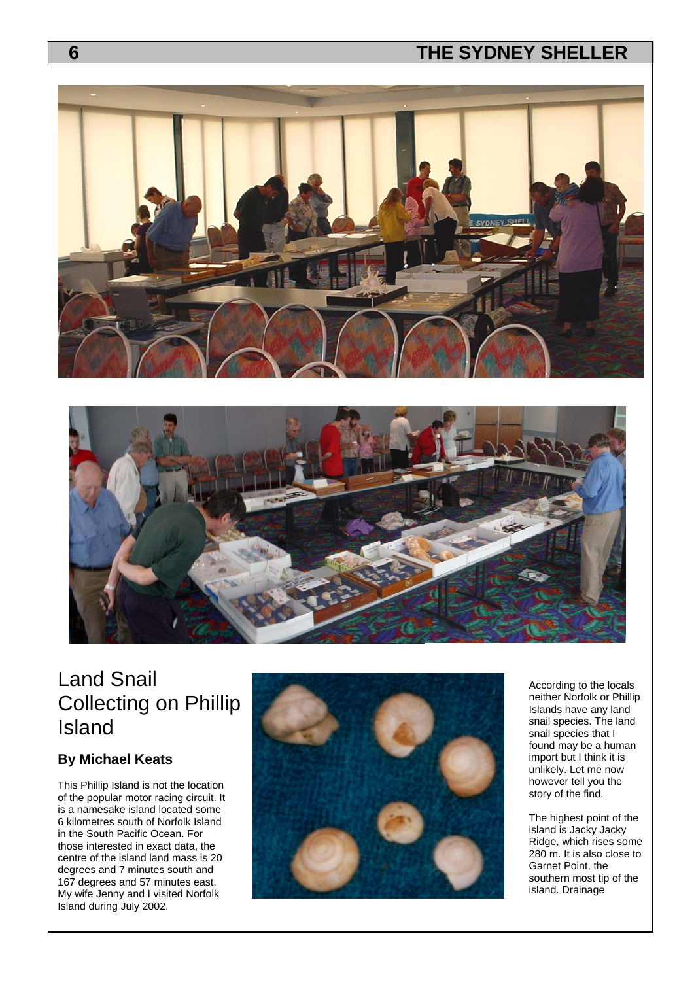



## Land Snail Collecting on Phillip Island

#### **By Michael Keats**

This Phillip Island is not the location of the popular motor racing circuit. It is a namesake island located some 6 kilometres south of Norfolk Island in the South Pacific Ocean. For those interested in exact data, the centre of the island land mass is 20 degrees and 7 minutes south and 167 degrees and 57 minutes east. My wife Jenny and I visited Norfolk Island during July 2002.



According to the locals neither Norfolk or Phillip Islands have any land snail species. The land snail species that I found may be a human import but I think it is<br>unlikely. Let me now however tell you the story of the find.

Ridge, which rises some southern most tip of the island. Drainage The highest point of the island is Jacky Jacky 280 m. It is also close to Garnet Point, the